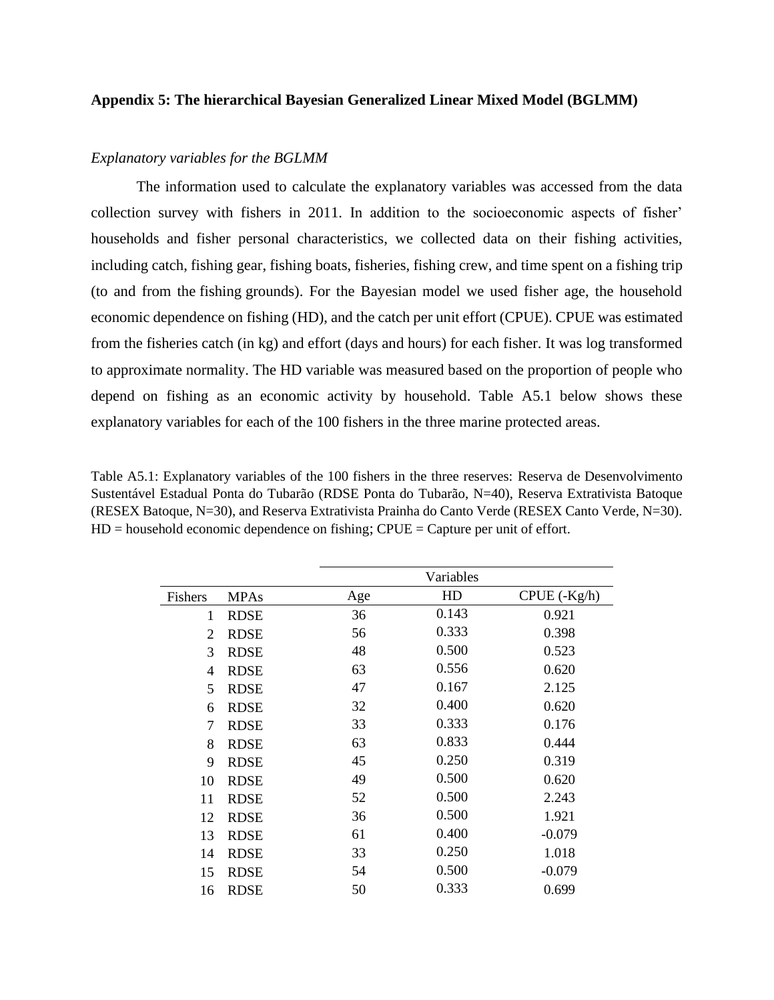## **Appendix 5: The hierarchical Bayesian Generalized Linear Mixed Model (BGLMM)**

## *Explanatory variables for the BGLMM*

The information used to calculate the explanatory variables was accessed from the data collection survey with fishers in 2011. In addition to the socioeconomic aspects of fisher' households and fisher personal characteristics, we collected data on their fishing activities, including catch, fishing gear, fishing boats, fisheries, fishing crew, and time spent on a fishing trip (to and from the fishing grounds). For the Bayesian model we used fisher age, the household economic dependence on fishing (HD), and the catch per unit effort (CPUE). CPUE was estimated from the fisheries catch (in kg) and effort (days and hours) for each fisher. It was log transformed to approximate normality. The HD variable was measured based on the proportion of people who depend on fishing as an economic activity by household. Table A5.1 below shows these explanatory variables for each of the 100 fishers in the three marine protected areas.

Table A5.1: Explanatory variables of the 100 fishers in the three reserves: Reserva de Desenvolvimento Sustentável Estadual Ponta do Tubarão (RDSE Ponta do Tubarão, N=40), Reserva Extrativista Batoque (RESEX Batoque, N=30), and Reserva Extrativista Prainha do Canto Verde (RESEX Canto Verde, N=30).  $HD =$  household economic dependence on fishing;  $CPUE =$  Capture per unit of effort.

|                |             |     | Variables |                  |
|----------------|-------------|-----|-----------|------------------|
| Fishers        | <b>MPAs</b> | Age | HD        | $CPUE$ $(-Kg/h)$ |
| 1              | <b>RDSE</b> | 36  | 0.143     | 0.921            |
| $\overline{2}$ | <b>RDSE</b> | 56  | 0.333     | 0.398            |
| 3              | <b>RDSE</b> | 48  | 0.500     | 0.523            |
| $\overline{4}$ | <b>RDSE</b> | 63  | 0.556     | 0.620            |
| 5              | <b>RDSE</b> | 47  | 0.167     | 2.125            |
| 6              | <b>RDSE</b> | 32  | 0.400     | 0.620            |
| 7              | <b>RDSE</b> | 33  | 0.333     | 0.176            |
| 8              | <b>RDSE</b> | 63  | 0.833     | 0.444            |
| 9              | <b>RDSE</b> | 45  | 0.250     | 0.319            |
| 10             | <b>RDSE</b> | 49  | 0.500     | 0.620            |
| 11             | <b>RDSE</b> | 52  | 0.500     | 2.243            |
| 12             | <b>RDSE</b> | 36  | 0.500     | 1.921            |
| 13             | <b>RDSE</b> | 61  | 0.400     | $-0.079$         |
| 14             | <b>RDSE</b> | 33  | 0.250     | 1.018            |
| 15             | <b>RDSE</b> | 54  | 0.500     | $-0.079$         |
| 16             | <b>RDSE</b> | 50  | 0.333     | 0.699            |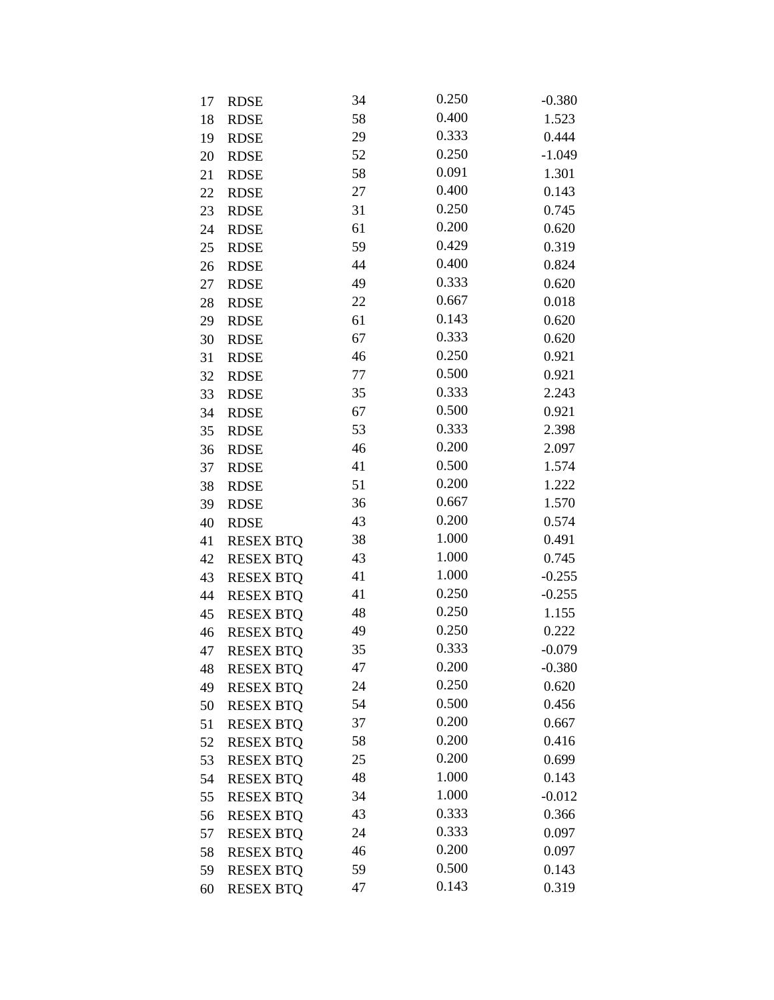| 17 | <b>RDSE</b>      | 34     | 0.250 | $-0.380$ |
|----|------------------|--------|-------|----------|
| 18 | <b>RDSE</b>      | 58     | 0.400 | 1.523    |
| 19 | <b>RDSE</b>      | 29     | 0.333 | 0.444    |
| 20 | <b>RDSE</b>      | 52     | 0.250 | $-1.049$ |
| 21 | <b>RDSE</b>      | 58     | 0.091 | 1.301    |
| 22 | <b>RDSE</b>      | 27     | 0.400 | 0.143    |
| 23 | <b>RDSE</b>      | 31     | 0.250 | 0.745    |
| 24 | <b>RDSE</b>      | 61     | 0.200 | 0.620    |
| 25 | <b>RDSE</b>      | 59     | 0.429 | 0.319    |
| 26 | <b>RDSE</b>      | 44     | 0.400 | 0.824    |
| 27 | <b>RDSE</b>      | 49     | 0.333 | 0.620    |
| 28 | <b>RDSE</b>      | 22     | 0.667 | 0.018    |
| 29 | <b>RDSE</b>      | 61     | 0.143 | 0.620    |
| 30 | <b>RDSE</b>      | 67     | 0.333 | 0.620    |
| 31 | <b>RDSE</b>      | 46     | 0.250 | 0.921    |
| 32 | <b>RDSE</b>      | $77\,$ | 0.500 | 0.921    |
| 33 | <b>RDSE</b>      | 35     | 0.333 | 2.243    |
| 34 | <b>RDSE</b>      | 67     | 0.500 | 0.921    |
| 35 | <b>RDSE</b>      | 53     | 0.333 | 2.398    |
| 36 | <b>RDSE</b>      | 46     | 0.200 | 2.097    |
| 37 | <b>RDSE</b>      | 41     | 0.500 | 1.574    |
| 38 | <b>RDSE</b>      | 51     | 0.200 | 1.222    |
| 39 | <b>RDSE</b>      | 36     | 0.667 | 1.570    |
| 40 | <b>RDSE</b>      | 43     | 0.200 | 0.574    |
| 41 | <b>RESEX BTQ</b> | 38     | 1.000 | 0.491    |
| 42 | <b>RESEX BTQ</b> | 43     | 1.000 | 0.745    |
| 43 | <b>RESEX BTQ</b> | 41     | 1.000 | $-0.255$ |
| 44 | <b>RESEX BTQ</b> | 41     | 0.250 | $-0.255$ |
| 45 | <b>RESEX BTQ</b> | 48     | 0.250 | 1.155    |
| 46 | <b>RESEX BTQ</b> | 49     | 0.250 | 0.222    |
| 47 | <b>RESEX BTQ</b> | 35     | 0.333 | $-0.079$ |
| 48 | <b>RESEX BTQ</b> | 47     | 0.200 | $-0.380$ |
| 49 | <b>RESEX BTQ</b> | 24     | 0.250 | 0.620    |
| 50 | <b>RESEX BTQ</b> | 54     | 0.500 | 0.456    |
| 51 | <b>RESEX BTQ</b> | 37     | 0.200 | 0.667    |
| 52 | <b>RESEX BTQ</b> | 58     | 0.200 | 0.416    |
| 53 | <b>RESEX BTQ</b> | 25     | 0.200 | 0.699    |
| 54 | <b>RESEX BTQ</b> | 48     | 1.000 | 0.143    |
| 55 | <b>RESEX BTO</b> | 34     | 1.000 | $-0.012$ |
| 56 | <b>RESEX BTQ</b> | 43     | 0.333 | 0.366    |
| 57 | <b>RESEX BTQ</b> | 24     | 0.333 | 0.097    |
| 58 | <b>RESEX BTQ</b> | 46     | 0.200 | 0.097    |
| 59 | <b>RESEX BTQ</b> | 59     | 0.500 | 0.143    |
| 60 | <b>RESEX BTQ</b> | 47     | 0.143 | 0.319    |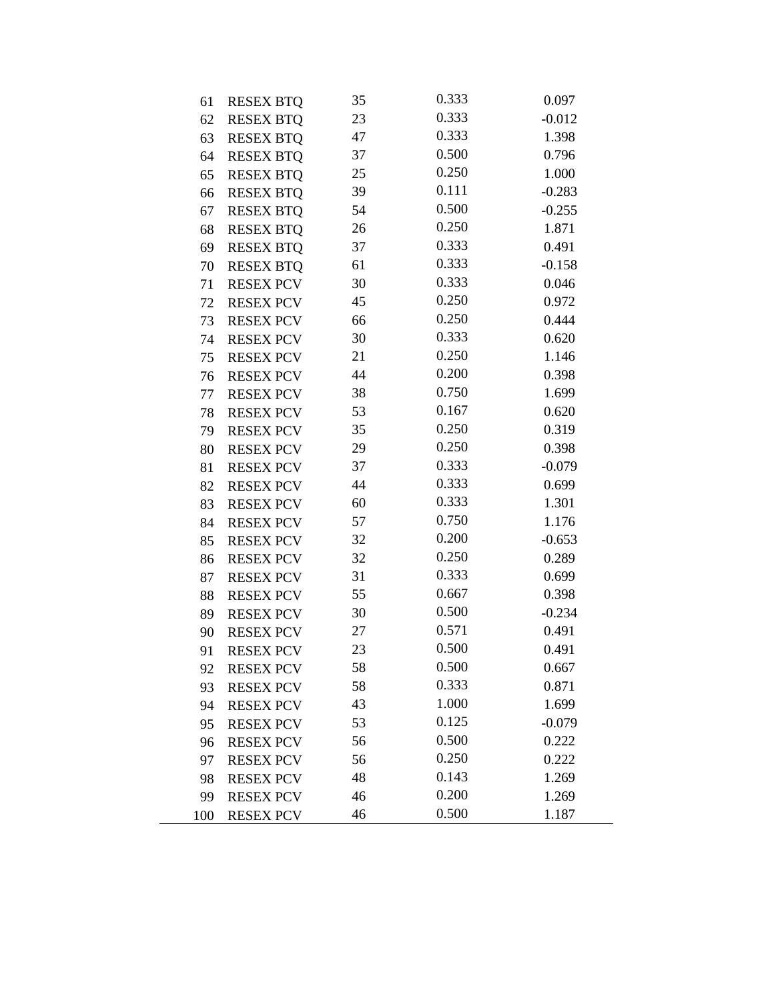| 61  | <b>RESEX BTQ</b> | 35 | 0.333 | 0.097    |
|-----|------------------|----|-------|----------|
| 62  | <b>RESEX BTQ</b> | 23 | 0.333 | $-0.012$ |
| 63  | <b>RESEX BTQ</b> | 47 | 0.333 | 1.398    |
| 64  | <b>RESEX BTQ</b> | 37 | 0.500 | 0.796    |
| 65  | <b>RESEX BTQ</b> | 25 | 0.250 | 1.000    |
| 66  | <b>RESEX BTQ</b> | 39 | 0.111 | $-0.283$ |
| 67  | <b>RESEX BTQ</b> | 54 | 0.500 | $-0.255$ |
| 68  | <b>RESEX BTQ</b> | 26 | 0.250 | 1.871    |
| 69  | <b>RESEX BTQ</b> | 37 | 0.333 | 0.491    |
| 70  | <b>RESEX BTQ</b> | 61 | 0.333 | $-0.158$ |
| 71  | <b>RESEX PCV</b> | 30 | 0.333 | 0.046    |
| 72  | <b>RESEX PCV</b> | 45 | 0.250 | 0.972    |
| 73  | <b>RESEX PCV</b> | 66 | 0.250 | 0.444    |
| 74  | <b>RESEX PCV</b> | 30 | 0.333 | 0.620    |
| 75  | <b>RESEX PCV</b> | 21 | 0.250 | 1.146    |
| 76  | <b>RESEX PCV</b> | 44 | 0.200 | 0.398    |
| 77  | <b>RESEX PCV</b> | 38 | 0.750 | 1.699    |
| 78  | <b>RESEX PCV</b> | 53 | 0.167 | 0.620    |
| 79  | <b>RESEX PCV</b> | 35 | 0.250 | 0.319    |
| 80  | <b>RESEX PCV</b> | 29 | 0.250 | 0.398    |
| 81  | <b>RESEX PCV</b> | 37 | 0.333 | $-0.079$ |
| 82  | <b>RESEX PCV</b> | 44 | 0.333 | 0.699    |
| 83  | <b>RESEX PCV</b> | 60 | 0.333 | 1.301    |
| 84  | <b>RESEX PCV</b> | 57 | 0.750 | 1.176    |
| 85  | <b>RESEX PCV</b> | 32 | 0.200 | $-0.653$ |
| 86  | <b>RESEX PCV</b> | 32 | 0.250 | 0.289    |
| 87  | <b>RESEX PCV</b> | 31 | 0.333 | 0.699    |
| 88  | <b>RESEX PCV</b> | 55 | 0.667 | 0.398    |
| 89  | <b>RESEX PCV</b> | 30 | 0.500 | $-0.234$ |
| 90  | <b>RESEX PCV</b> | 27 | 0.571 | 0.491    |
| 91  | <b>RESEX PCV</b> | 23 | 0.500 | 0.491    |
| 92  | <b>RESEX PCV</b> | 58 | 0.500 | 0.667    |
| 93  | <b>RESEX PCV</b> | 58 | 0.333 | 0.871    |
| 94  | <b>RESEX PCV</b> | 43 | 1.000 | 1.699    |
| 95  | <b>RESEX PCV</b> | 53 | 0.125 | $-0.079$ |
| 96  | <b>RESEX PCV</b> | 56 | 0.500 | 0.222    |
| 97  | <b>RESEX PCV</b> | 56 | 0.250 | 0.222    |
| 98  | <b>RESEX PCV</b> | 48 | 0.143 | 1.269    |
| 99  | <b>RESEX PCV</b> | 46 | 0.200 | 1.269    |
| 100 | <b>RESEX PCV</b> | 46 | 0.500 | 1.187    |

 $\overline{\phantom{0}}$ 

L,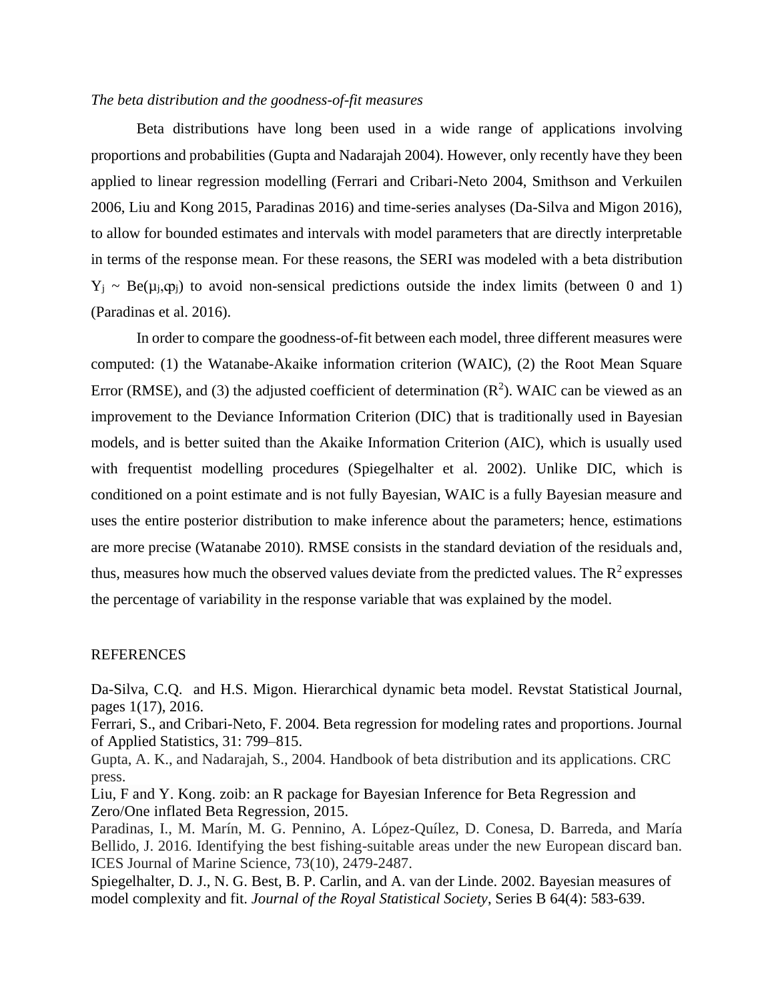## *The beta distribution and the goodness-of-fit measures*

Beta distributions have long been used in a wide range of applications involving proportions and probabilities (Gupta and Nadarajah 2004). However, only recently have they been applied to linear regression modelling (Ferrari and Cribari-Neto 2004, Smithson and Verkuilen 2006, Liu and Kong 2015, Paradinas 2016) and time-series analyses (Da-Silva and Migon 2016), to allow for bounded estimates and intervals with model parameters that are directly interpretable in terms of the response mean. For these reasons, the SERI was modeled with a beta distribution  $Y_i$  ~ Be( $\mu_i, \varphi_i$ ) to avoid non-sensical predictions outside the index limits (between 0 and 1) (Paradinas et al. 2016).

In order to compare the goodness-of-fit between each model, three different measures were computed: (1) the Watanabe-Akaike information criterion (WAIC), (2) the Root Mean Square Error (RMSE), and (3) the adjusted coefficient of determination  $(R^2)$ . WAIC can be viewed as an improvement to the Deviance Information Criterion (DIC) that is traditionally used in Bayesian models, and is better suited than the Akaike Information Criterion (AIC), which is usually used with frequentist modelling procedures (Spiegelhalter et al. 2002). Unlike DIC, which is conditioned on a point estimate and is not fully Bayesian, WAIC is a fully Bayesian measure and uses the entire posterior distribution to make inference about the parameters; hence, estimations are more precise (Watanabe 2010). RMSE consists in the standard deviation of the residuals and, thus, measures how much the observed values deviate from the predicted values. The  $R^2$  expresses the percentage of variability in the response variable that was explained by the model.

## REFERENCES

Da-Silva, C.Q. and H.S. Migon. Hierarchical dynamic beta model. Revstat Statistical Journal, pages 1(17), 2016.

Ferrari, S., and Cribari-Neto, F. 2004. Beta regression for modeling rates and proportions. Journal of Applied Statistics, 31: 799–815.

Gupta, A. K., and Nadarajah, S., 2004. Handbook of beta distribution and its applications. CRC press.

Liu, F and Y. Kong. zoib: an R package for Bayesian Inference for Beta Regression and Zero/One inflated Beta Regression, 2015.

Paradinas, I., M. Marín, M. G. Pennino, A. López-Quílez, D. Conesa, D. Barreda, and María Bellido, J. 2016. Identifying the best fishing-suitable areas under the new European discard ban. ICES Journal of Marine Science, 73(10), 2479-2487.

Spiegelhalter, D. J., N. G. Best, B. P. Carlin, and A. van der Linde. 2002. Bayesian measures of model complexity and fit. *Journal of the Royal Statistical Society*, Series B 64(4): 583-639.